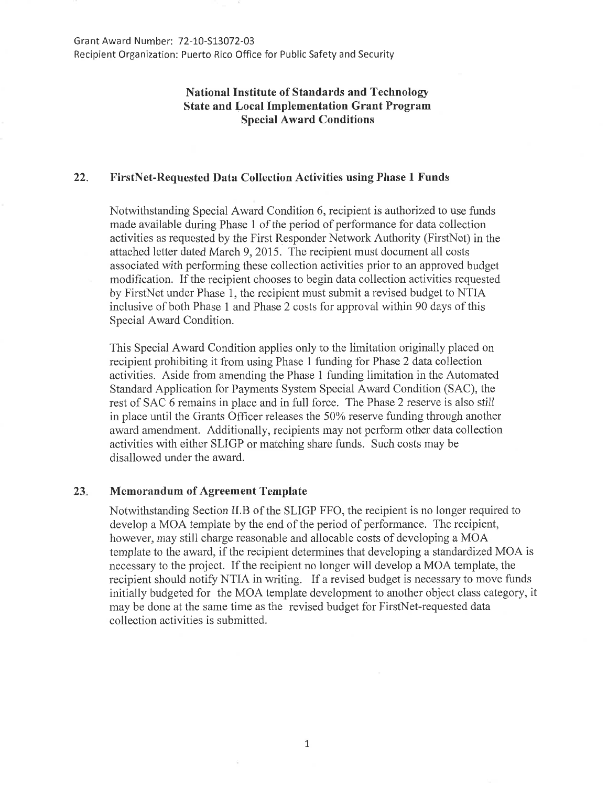## **National Institute of Standards and Technology State and Local Implementation Grant Program Special Award Conditions**

## **22. FirstNet-Requested Data Collection Activities using Phase 1 Funds**

Notwithstanding Special Award Condition 6, recipient is authorized to use funds made available during Phase 1 of the period of performance for data collection activities as requested by the First Responder Network Authority (FirstNet) in the attached letter dated March 9, 2015. The recipient must document all costs associated with performing these collection activities prior to an approved budget modification. If the recipient chooses to begin data collection activities requested by FirstNet under Phase 1, the recipient must submit a revised budget to NTIA inclusive of both Phase 1 and Phase 2 costs for approval within 90 days of this Special Award Condition.

This Special Award Condition applies only to the limitation originally placed on recipient prohibiting it from using Phase 1 funding for Phase 2 data collection activities. Aside from amending the Phase 1 funding limitation in the Automated Standard Application for Payments System Special Award Condition (SAC), the rest of SAC 6 remains in place and in full force. The Phase 2 reserve is also still in place until the Grants Officer releases the 50% reserve funding through another award amendment. Additionally, recipients may not perform other data collection activities with either SLIGP or matching share funds. Such costs may be disallowed under the award.

## **23. Memorandum of Agreement Template**

Notwithstanding Section II.B of the SLIGP FFO, the recipient is no longer required to develop a MOA template by the end of the period of performance. The recipient, however, may still charge reasonable and allocable costs of developing a MOA template to the award, if the recipient determines that developing a standardized MOA is necessary to the project. If the recipient no longer will develop a MOA template, the recipient should notify NTIA in writing. If a revised budget is necessary to move funds initially budgeted for the MOA template development to another object class category, it may be done at the same time as the revised budget for FirstNet-requested data collection activities is submitted.

1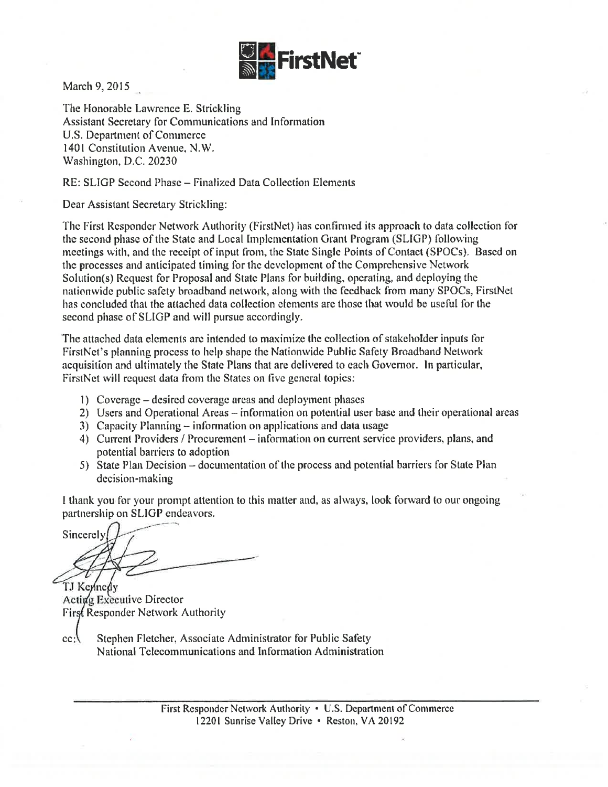

March 9, 2015

The Honorable Lawrence E. Strickling Assistant Secretary for Communications and Information U.S. Department of Conunerce 1401 Constitution Avenue, N.W. Washington, D.C. 20230

RE: SLIGP Second Phase - Finalized Data Collection Elements

Dear Assistant Secretary Strickling:

The First Responder Network Authority (FirstNet) has confirmed its approach to data collection for the second phase of the State and Local [mplementation Grant Program (SLIGP) following meetings with, and the receipt of input from, the State Single Points of Contact (SPOCs). Based on the processes and anticipated timing for the development of the Comprehensive Network Solution(s) Request for Proposal and State Plans for building, operating, and deploying the nationwide public safety broadband network, along with the {cedback from many SPOCs, FirstNet has concluded that the attached data collection elements are those that would be useful for the second phase of SLIGP and will pursue accordingly.

The attached data elements arc intended lo maximize the collection of stakeholder inputs for FirstNet's planning process to help shape the Nationwide Public Safety Broadband Network acquisition and ultimately the State Plans that arc delivered to each Governor. In particular. FirstNet will request data from the States on five general topics:

- I) Coverage -desired coverage areas and deployment phases
- 2) Users and Operational Areas information on potential user base and their operational areas
- 3) Capacity Planning- information on applications and data usage
- 4) Current Providers / Procurement information on current service providers, plans, and potential barriers to adoption
- 5) State Plan Decision documentation of the process and potential barriers for State Plan decision-making

I thank you for your prompt attention to this matter and, as always, look forward to our ongoing partnership on **SLIGP** endeavors.

Sincerely

TJ Kennedy Acting Executive Director First Responder Network Authority

 $cc:$ Stephen Fletcher, Associate Administrator for Public Safety National Telecommunications and Information Administration